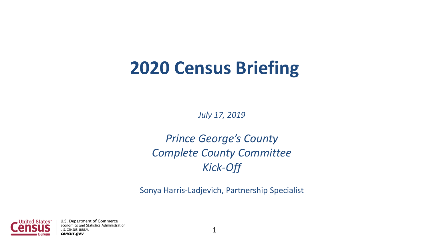## **2020 Census Briefing**

*July 17, 2019*

*Prince George's County Complete County Committee Kick-Off*

Sonya Harris-Ladjevich, Partnership Specialist

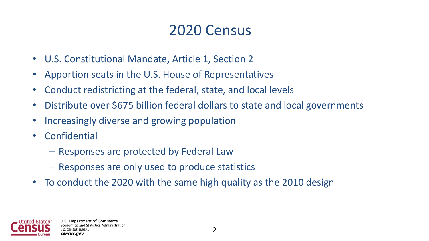### 2020 Census

- U.S. Constitutional Mandate, Article 1, Section 2
- Apportion seats in the U.S. House of Representatives
- Conduct redistricting at the federal, state, and local levels
- Distribute over \$675 billion federal dollars to state and local governments
- Increasingly diverse and growing population
- Confidential
	- Responses are protected by Federal Law
	- Responses are only used to produce statistics
- To conduct the 2020 with the same high quality as the 2010 design

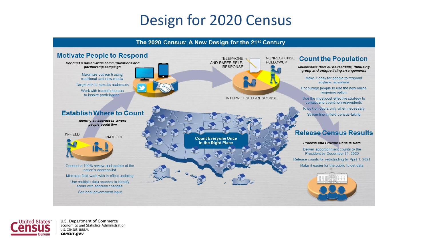### Design for 2020 Census





U.S. Department of Commerce Economics and Statistics Administration U.S. CENSUS BUREAU census.gov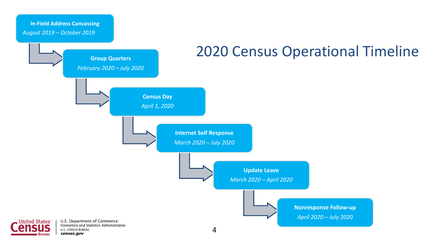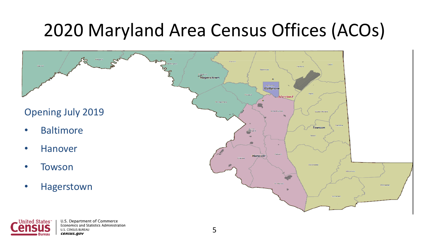# 2020 Maryland Area Census Offices (ACOs)



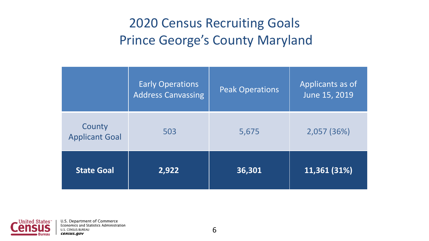### 2020 Census Recruiting Goals Prince George's County Maryland

|                                 | <b>Early Operations</b><br><b>Address Canvassing</b> | <b>Peak Operations</b> | Applicants as of<br>June 15, 2019 |
|---------------------------------|------------------------------------------------------|------------------------|-----------------------------------|
| County<br><b>Applicant Goal</b> | 503                                                  | 5,675                  | 2,057(36%)                        |
| <b>State Goal</b>               | 2,922                                                | 36,301                 | 11,361 (31%)                      |

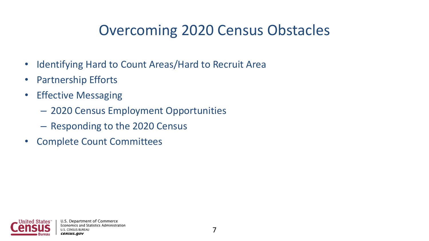## Overcoming 2020 Census Obstacles

- Identifying Hard to Count Areas/Hard to Recruit Area
- Partnership Efforts
- Effective Messaging
	- 2020 Census Employment Opportunities
	- Responding to the 2020 Census
- Complete Count Committees

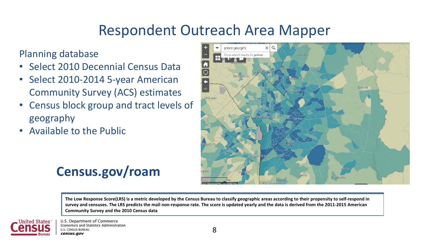### Respondent Outreach Area Mapper

#### Planning database

- Select 2010 Decennial Census Data
- Select 2010-2014 5-year American Community Survey (ACS) estimates
- Census block group and tract levels of geography
- Available to the Public



### **Census.gov/roam**

**The Low Response Score(LRS) is a metric developed by the Census Bureau to classify geographic areas according to their propensity to self-respond in survey and censuses. The LRS predicts the mail non-response rate. The score is updated yearly and the data is derived from the 2011-2015 American Community Survey and the 2010 Census data**



U.S. Department of Commerce Economics and Statistics Administration **U.S. CENSUS BUREAU** census.gov

8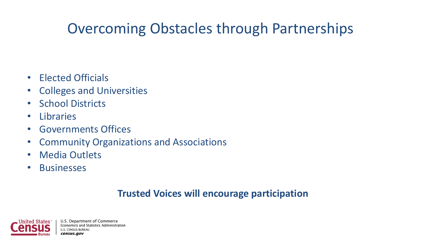### Overcoming Obstacles through Partnerships

- Elected Officials
- Colleges and Universities
- School Districts
- Libraries
- Governments Offices
- Community Organizations and Associations
- Media Outlets
- Businesses

#### **Trusted Voices will encourage participation**

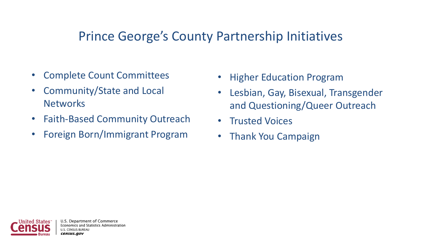### Prince George's County Partnership Initiatives

- Complete Count Committees
- Community/State and Local **Networks**
- Faith-Based Community Outreach
- Foreign Born/Immigrant Program
- **Higher Education Program**
- Lesbian, Gay, Bisexual, Transgender and Questioning/Queer Outreach
- Trusted Voices
- Thank You Campaign



U.S. Department of Commerce ics and Statistics Administration census.gov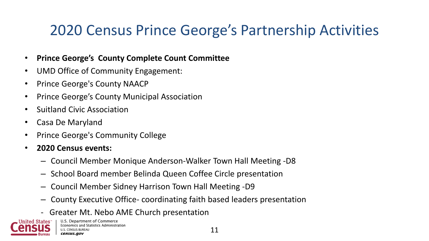## 2020 Census Prince George's Partnership Activities

#### • **Prince George's County Complete Count Committee**

- UMD Office of Community Engagement:
- Prince George's County NAACP
- Prince George's County Municipal Association
- Suitland Civic Association
- Casa De Maryland
- Prince George's Community College
- **2020 Census events:**
	- Council Member Monique Anderson-Walker Town Hall Meeting -D8
	- School Board member Belinda Queen Coffee Circle presentation
	- Council Member Sidney Harrison Town Hall Meeting -D9
	- County Executive Office- coordinating faith based leaders presentation
	- Greater Mt. Nebo AME Church presentation

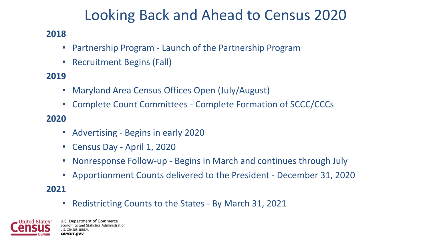### Looking Back and Ahead to Census 2020

#### **2018**

- Partnership Program Launch of the Partnership Program
- Recruitment Begins (Fall)

#### **2019**

- Maryland Area Census Offices Open (July/August)
- Complete Count Committees Complete Formation of SCCC/CCCs

#### **2020**

- Advertising Begins in early 2020
- Census Day April 1, 2020
- Nonresponse Follow-up Begins in March and continues through July
- Apportionment Counts delivered to the President December 31, 2020

**2021**

• Redistricting Counts to the States - By March 31, 2021